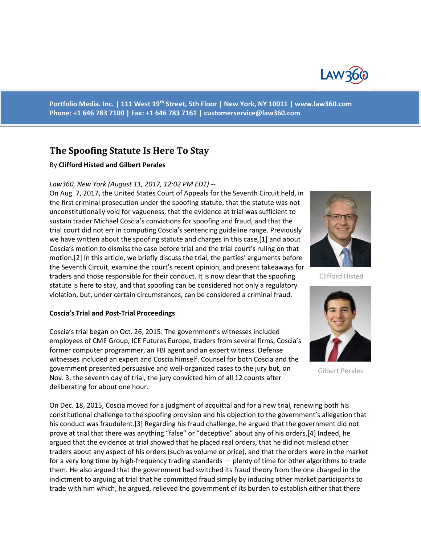

**Portfolio Media. Inc. | 111 West 19th Street, 5th Floor | New York, NY 10011 | www.law360.com Phone: +1 646 783 7100 | Fax: +1 646 783 7161 | [customerservice@law360.com](mailto:customerservice@law360.com)**

# **The Spoofing Statute Is Here To Stay**

### By **Clifford Histed and Gilbert Perales**

#### *Law360, New York (August 11, 2017, 12:02 PM EDT) --*

On Aug. 7, 2017, the United States Court of Appeals for the Seventh Circuit held, in the first criminal prosecution under the spoofing statute, that the statute was not unconstitutionally void for vagueness, that the evidence at trial was sufficient to sustain trader Michael Coscia's convictions for spoofing and fraud, and that the trial court did not err in computing Coscia's sentencing guideline range. Previously we have written about the spoofing statute and charges in this case,[1] and about Coscia's motion to dismiss the case before trial and the trial court's ruling on that motion.[2] In this article, we briefly discuss the trial, the parties' arguments before the Seventh Circuit, examine the court's recent opinion, and present takeaways for traders and those responsible for their conduct. It is now clear that the spoofing statute is here to stay, and that spoofing can be considered not only a regulatory violation, but, under certain circumstances, can be considered a criminal fraud.

#### **Coscia's Trial and Post-Trial Proceedings**

Coscia's trial began on Oct. 26, 2015. The government's witnesses included employees of CME Group, ICE Futures Europe, traders from several firms, Coscia's former computer programmer, an FBI agent and an expert witness. Defense witnesses included an expert and Coscia himself. Counsel for both Coscia and the government presented persuasive and well-organized cases to the jury but, on Nov. 3, the seventh day of trial, the jury convicted him of all 12 counts after deliberating for about one hour.

On Dec. 18, 2015, Coscia moved for a judgment of acquittal and for a new trial, renewing both his constitutional challenge to the spoofing provision and his objection to the government's allegation that his conduct was fraudulent.[3] Regarding his fraud challenge, he argued that the government did not prove at trial that there was anything "false" or "deceptive" about any of his orders.[4] Indeed, he argued that the evidence at trial showed that he placed real orders, that he did not mislead other traders about any aspect of his orders (such as volume or price), and that the orders were in the market for a very long time by high-frequency trading standards — plenty of time for other algorithms to trade them. He also argued that the government had switched its fraud theory from the one charged in the indictment to arguing at trial that he committed fraud simply by inducing other market participants to trade with him which, he argued, relieved the government of its burden to establish either that there



Clifford Histed



Gilbert Perales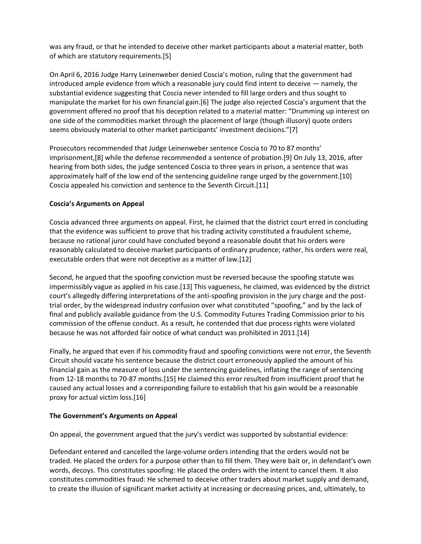was any fraud, or that he intended to deceive other market participants about a material matter, both of which are statutory requirements.[5]

On April 6, 2016 Judge Harry Leinenweber denied Coscia's motion, ruling that the government had introduced ample evidence from which a reasonable jury could find intent to deceive — namely, the substantial evidence suggesting that Coscia never intended to fill large orders and thus sought to manipulate the market for his own financial gain.[6] The judge also rejected Coscia's argument that the government offered no proof that his deception related to a material matter: "Drumming up interest on one side of the commodities market through the placement of large (though illusory) quote orders seems obviously material to other market participants' investment decisions."[7]

Prosecutors recommended that Judge Leinenweber sentence Coscia to 70 to 87 months' imprisonment,[8] while the defense recommended a sentence of probation.[9] On July 13, 2016, after hearing from both sides, the judge sentenced Coscia to three years in prison, a sentence that was approximately half of the low end of the sentencing guideline range urged by the government.[10] Coscia appealed his conviction and sentence to the Seventh Circuit.[11]

## **Coscia's Arguments on Appeal**

Coscia advanced three arguments on appeal. First, he claimed that the district court erred in concluding that the evidence was sufficient to prove that his trading activity constituted a fraudulent scheme, because no rational juror could have concluded beyond a reasonable doubt that his orders were reasonably calculated to deceive market participants of ordinary prudence; rather, his orders were real, executable orders that were not deceptive as a matter of law.[12]

Second, he argued that the spoofing conviction must be reversed because the spoofing statute was impermissibly vague as applied in his case.[13] This vagueness, he claimed, was evidenced by the district court's allegedly differing interpretations of the anti-spoofing provision in the jury charge and the posttrial order, by the widespread industry confusion over what constituted "spoofing," and by the lack of final and publicly available guidance from the U.S. Commodity Futures Trading Commission prior to his commission of the offense conduct. As a result, he contended that due process rights were violated because he was not afforded fair notice of what conduct was prohibited in 2011.[14]

Finally, he argued that even if his commodity fraud and spoofing convictions were not error, the Seventh Circuit should vacate his sentence because the district court erroneously applied the amount of his financial gain as the measure of loss under the sentencing guidelines, inflating the range of sentencing from 12-18 months to 70-87 months.[15] He claimed this error resulted from insufficient proof that he caused any actual losses and a corresponding failure to establish that his gain would be a reasonable proxy for actual victim loss.[16]

## **The Government's Arguments on Appeal**

On appeal, the government argued that the jury's verdict was supported by substantial evidence:

Defendant entered and cancelled the large-volume orders intending that the orders would not be traded. He placed the orders for a purpose other than to fill them. They were bait or, in defendant's own words, decoys. This constitutes spoofing: He placed the orders with the intent to cancel them. It also constitutes commodities fraud: He schemed to deceive other traders about market supply and demand, to create the illusion of significant market activity at increasing or decreasing prices, and, ultimately, to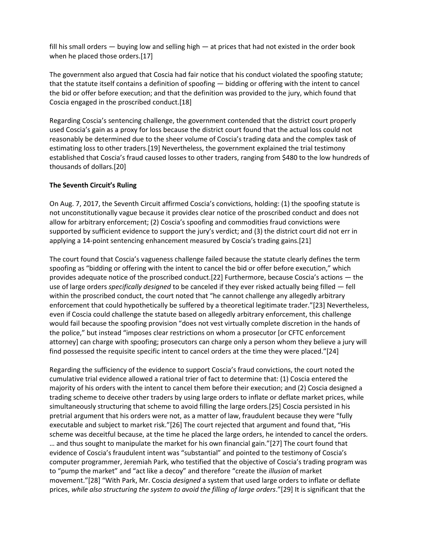fill his small orders  $-$  buying low and selling high  $-$  at prices that had not existed in the order book when he placed those orders.[17]

The government also argued that Coscia had fair notice that his conduct violated the spoofing statute; that the statute itself contains a definition of spoofing — bidding or offering with the intent to cancel the bid or offer before execution; and that the definition was provided to the jury, which found that Coscia engaged in the proscribed conduct.[18]

Regarding Coscia's sentencing challenge, the government contended that the district court properly used Coscia's gain as a proxy for loss because the district court found that the actual loss could not reasonably be determined due to the sheer volume of Coscia's trading data and the complex task of estimating loss to other traders.[19] Nevertheless, the government explained the trial testimony established that Coscia's fraud caused losses to other traders, ranging from \$480 to the low hundreds of thousands of dollars.[20]

## **The Seventh Circuit's Ruling**

On Aug. 7, 2017, the Seventh Circuit affirmed Coscia's convictions, holding: (1) the spoofing statute is not unconstitutionally vague because it provides clear notice of the proscribed conduct and does not allow for arbitrary enforcement; (2) Coscia's spoofing and commodities fraud convictions were supported by sufficient evidence to support the jury's verdict; and (3) the district court did not err in applying a 14-point sentencing enhancement measured by Coscia's trading gains.[21]

The court found that Coscia's vagueness challenge failed because the statute clearly defines the term spoofing as "bidding or offering with the intent to cancel the bid or offer before execution," which provides adequate notice of the proscribed conduct.[22] Furthermore, because Coscia's actions — the use of large orders *specifically designed* to be canceled if they ever risked actually being filled — fell within the proscribed conduct, the court noted that "he cannot challenge any allegedly arbitrary enforcement that could hypothetically be suffered by a theoretical legitimate trader."[23] Nevertheless, even if Coscia could challenge the statute based on allegedly arbitrary enforcement, this challenge would fail because the spoofing provision "does not vest virtually complete discretion in the hands of the police," but instead "imposes clear restrictions on whom a prosecutor [or CFTC enforcement attorney] can charge with spoofing; prosecutors can charge only a person whom they believe a jury will find possessed the requisite specific intent to cancel orders at the time they were placed."[24]

Regarding the sufficiency of the evidence to support Coscia's fraud convictions, the court noted the cumulative trial evidence allowed a rational trier of fact to determine that: (1) Coscia entered the majority of his orders with the intent to cancel them before their execution; and (2) Coscia designed a trading scheme to deceive other traders by using large orders to inflate or deflate market prices, while simultaneously structuring that scheme to avoid filling the large orders.[25] Coscia persisted in his pretrial argument that his orders were not, as a matter of law, fraudulent because they were "fully executable and subject to market risk."[26] The court rejected that argument and found that, "His scheme was deceitful because, at the time he placed the large orders, he intended to cancel the orders. … and thus sought to manipulate the market for his own financial gain."[27] The court found that evidence of Coscia's fraudulent intent was "substantial" and pointed to the testimony of Coscia's computer programmer, Jeremiah Park, who testified that the objective of Coscia's trading program was to "pump the market" and "act like a decoy" and therefore "create the *illusion* of market movement."[28] "With Park, Mr. Coscia *designed* a system that used large orders to inflate or deflate prices, *while also structuring the system to avoid the filling of large orders*."[29] It is significant that the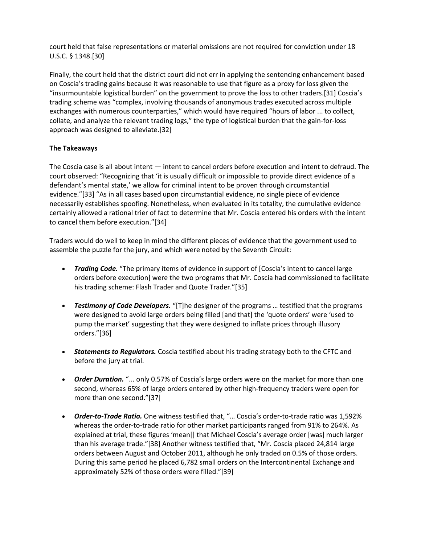court held that false representations or material omissions are not required for conviction under 18 U.S.C. § 1348.[30]

Finally, the court held that the district court did not err in applying the sentencing enhancement based on Coscia's trading gains because it was reasonable to use that figure as a proxy for loss given the "insurmountable logistical burden" on the government to prove the loss to other traders.[31] Coscia's trading scheme was "complex, involving thousands of anonymous trades executed across multiple exchanges with numerous counterparties," which would have required "hours of labor ... to collect, collate, and analyze the relevant trading logs," the type of logistical burden that the gain-for-loss approach was designed to alleviate.[32]

# **The Takeaways**

The Coscia case is all about intent — intent to cancel orders before execution and intent to defraud. The court observed: "Recognizing that 'it is usually difficult or impossible to provide direct evidence of a defendant's mental state,' we allow for criminal intent to be proven through circumstantial evidence."[33] "As in all cases based upon circumstantial evidence, no single piece of evidence necessarily establishes spoofing. Nonetheless, when evaluated in its totality, the cumulative evidence certainly allowed a rational trier of fact to determine that Mr. Coscia entered his orders with the intent to cancel them before execution."[34]

Traders would do well to keep in mind the different pieces of evidence that the government used to assemble the puzzle for the jury, and which were noted by the Seventh Circuit:

- Trading Code. "The primary items of evidence in support of [Coscia's intent to cancel large orders before execution] were the two programs that Mr. Coscia had commissioned to facilitate his trading scheme: Flash Trader and Quote Trader."[35]
- *Testimony of Code Developers.* "[T]he designer of the programs … testified that the programs were designed to avoid large orders being filled [and that] the 'quote orders' were 'used to pump the market' suggesting that they were designed to inflate prices through illusory orders."[36]
- *Statements to Regulators.* Coscia testified about his trading strategy both to the CFTC and before the jury at trial.
- *Order Duration.* "... only 0.57% of Coscia's large orders were on the market for more than one second, whereas 65% of large orders entered by other high-frequency traders were open for more than one second."[37]
- *Order-to-Trade Ratio.* One witness testified that, "… Coscia's order-to-trade ratio was 1,592% whereas the order-to-trade ratio for other market participants ranged from 91% to 264%. As explained at trial, these figures 'mean[] that Michael Coscia's average order [was] much larger than his average trade."[38] Another witness testified that, "Mr. Coscia placed 24,814 large orders between August and October 2011, although he only traded on 0.5% of those orders. During this same period he placed 6,782 small orders on the Intercontinental Exchange and approximately 52% of those orders were filled."[39]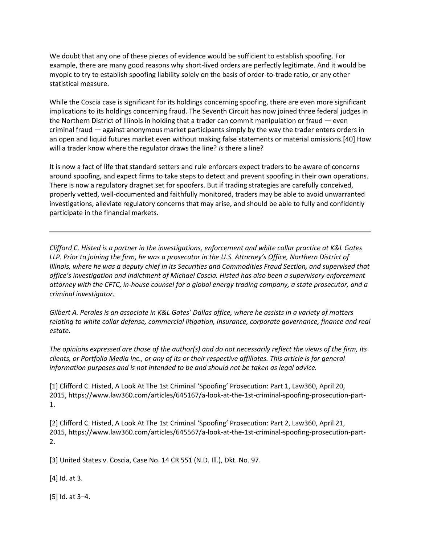We doubt that any one of these pieces of evidence would be sufficient to establish spoofing. For example, there are many good reasons why short-lived orders are perfectly legitimate. And it would be myopic to try to establish spoofing liability solely on the basis of order-to-trade ratio, or any other statistical measure.

While the Coscia case is significant for its holdings concerning spoofing, there are even more significant implications to its holdings concerning fraud. The Seventh Circuit has now joined three federal judges in the Northern District of Illinois in holding that a trader can commit manipulation or fraud — even criminal fraud — against anonymous market participants simply by the way the trader enters orders in an open and liquid futures market even without making false statements or material omissions.[40] How will a trader know where the regulator draws the line? *Is* there a line?

It is now a fact of life that standard setters and rule enforcers expect traders to be aware of concerns around spoofing, and expect firms to take steps to detect and prevent spoofing in their own operations. There is now a regulatory dragnet set for spoofers. But if trading strategies are carefully conceived, properly vetted, well-documented and faithfully monitored, traders may be able to avoid unwarranted investigations, alleviate regulatory concerns that may arise, and should be able to fully and confidently participate in the financial markets.

*Clifford C. Histed is a partner in the investigations, enforcement and white collar practice at K&L Gates LLP. Prior to joining the firm, he was a prosecutor in the U.S. Attorney's Office, Northern District of Illinois, where he was a deputy chief in its Securities and Commodities Fraud Section, and supervised that office's investigation and indictment of Michael Coscia. Histed has also been a supervisory enforcement attorney with the CFTC, in-house counsel for a global energy trading company, a state prosecutor, and a criminal investigator.*

*Gilbert A. Perales is an associate in K&L Gates' Dallas office, where he assists in a variety of matters relating to white collar defense, commercial litigation, insurance, corporate governance, finance and real estate.*

*The opinions expressed are those of the author(s) and do not necessarily reflect the views of the firm, its clients, or Portfolio Media Inc., or any of its or their respective affiliates. This article is for general information purposes and is not intended to be and should not be taken as legal advice.*

[1] Clifford C. Histed, A Look At The 1st Criminal 'Spoofing' Prosecution: Part 1, Law360, April 20, 2015, https://www.law360.com/articles/645167/a-look-at-the-1st-criminal-spoofing-prosecution-part-1.

[2] Clifford C. Histed, A Look At The 1st Criminal 'Spoofing' Prosecution: Part 2, Law360, April 21, 2015, https://www.law360.com/articles/645567/a-look-at-the-1st-criminal-spoofing-prosecution-part-2.

[3] United States v. Coscia, Case No. 14 CR 551 (N.D. Ill.), Dkt. No. 97.

[4] Id. at 3.

[5] Id. at 3–4.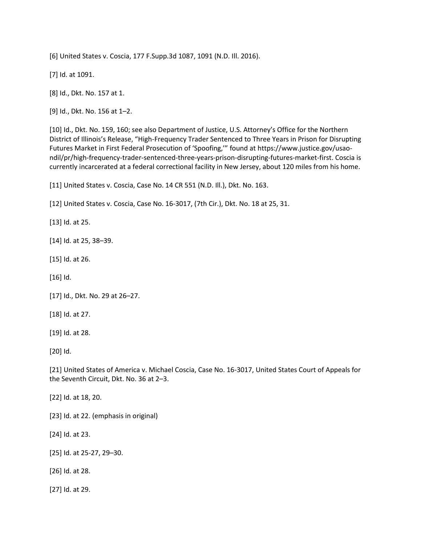[6] United States v. Coscia, 177 F.Supp.3d 1087, 1091 (N.D. Ill. 2016).

[7] Id. at 1091.

[8] Id., Dkt. No. 157 at 1.

[9] Id., Dkt. No. 156 at 1–2.

[10] Id., Dkt. No. 159, 160; see also Department of Justice, U.S. Attorney's Office for the Northern District of Illinois's Release, "High-Frequency Trader Sentenced to Three Years in Prison for Disrupting Futures Market in First Federal Prosecution of 'Spoofing,'" found at https://www.justice.gov/usaondil/pr/high-frequency-trader-sentenced-three-years-prison-disrupting-futures-market-first. Coscia is currently incarcerated at a federal correctional facility in New Jersey, about 120 miles from his home.

[11] United States v. Coscia, Case No. 14 CR 551 (N.D. Ill.), Dkt. No. 163.

[12] United States v. Coscia, Case No. 16-3017, (7th Cir.), Dkt. No. 18 at 25, 31.

[13] Id. at 25.

[14] Id. at 25, 38–39.

[15] Id. at 26.

[16] Id.

[17] Id., Dkt. No. 29 at 26–27.

[18] Id. at 27.

[19] Id. at 28.

[20] Id.

[21] United States of America v. Michael Coscia, Case No. 16-3017, United States Court of Appeals for the Seventh Circuit, Dkt. No. 36 at 2–3.

[22] Id. at 18, 20.

[23] Id. at 22. (emphasis in original)

[24] Id. at 23.

[25] Id. at 25-27, 29–30.

[26] Id. at 28.

[27] Id. at 29.